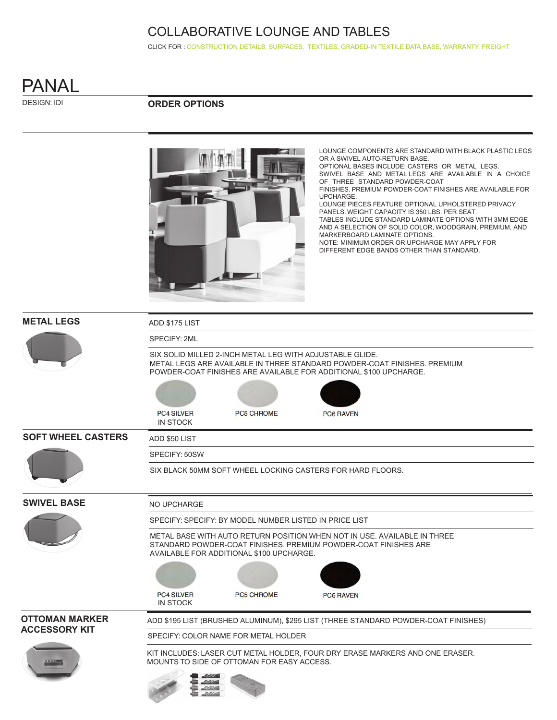CLICK FOR : [CONSTRUCTION DETAILS,](http://www.ekocontract.com/collaborative-seating/panal-collaborative) [SURFACES,](http://www.ekocontract.com/surfaces) [TEXTILES,](http://www.ekocontract.com/fabrics) [GRADED-IN TEXTILE DATA BASE,](http://www.ekocontract.com/resources/surface-materials/surface-materials-database) [WARRANTY, FREIGHT](http://www.ekocontract.com/files/resources/2015_EKO_Terms__Conditions.pdf)



DESIGN: IDI

### **ORDER OPTIONS**



LOUNGE COMPONENTS ARE STANDARD WITH BLACK PLASTIC LEGS OR A SWIVEL AUTO-RETURN BASE. OPTIONAL BASES INCLUDE: CASTERS OR METAL LEGS. SWIVEL BASE AND METAL LEGS ARE AVAILABLE IN A CHOICE OF THREE STANDARD POWDER-COAT FINISHES. PREMIUM POWDER-COAT FINISHES ARE AVAILABLE FOR UPCHARGE. LOUNGE PIECES FEATURE OPTIONAL UPHOLSTERED PRIVACY PANELS. WEIGHT CAPACITY IS 350 LBS. PER SEAT. TABLES INCLUDE STANDARD LAMINATE OPTIONS WITH 3MM EDGE AND A SELECTION OF SOLID COLOR, WOODGRAIN, PREMIUM, AND MARKERBOARD LAMINATE OPTIONS. NOTE: MINIMUM ORDER OR UPCHARGE MAY APPLY FOR DIFFERENT EDGE BANDS OTHER THAN STANDARD.

| <b>METAL LEGS</b>         | ADD \$175 LIST                                                                                                                                                                                            |  |  |  |  |  |  |  |  |
|---------------------------|-----------------------------------------------------------------------------------------------------------------------------------------------------------------------------------------------------------|--|--|--|--|--|--|--|--|
|                           | SPECIFY: 2ML                                                                                                                                                                                              |  |  |  |  |  |  |  |  |
|                           | SIX SOLID MILLED 2-INCH METAL LEG WITH ADJUSTABLE GLIDE.<br>METAL LEGS ARE AVAILABLE IN THREE STANDARD POWDER-COAT FINISHES. PREMIUM<br>POWDER-COAT FINISHES ARE AVAILABLE FOR ADDITIONAL \$100 UPCHARGE. |  |  |  |  |  |  |  |  |
|                           |                                                                                                                                                                                                           |  |  |  |  |  |  |  |  |
|                           | <b>PC4 SILVER</b><br><b>PC5 CHROME</b><br><b>PC6 RAVEN</b><br><b>IN STOCK</b>                                                                                                                             |  |  |  |  |  |  |  |  |
| <b>SOFT WHEEL CASTERS</b> | ADD \$50 LIST                                                                                                                                                                                             |  |  |  |  |  |  |  |  |
|                           | SPECIFY: 50SW                                                                                                                                                                                             |  |  |  |  |  |  |  |  |
|                           | SIX BLACK 50MM SOFT WHEEL LOCKING CASTERS FOR HARD FLOORS.                                                                                                                                                |  |  |  |  |  |  |  |  |
| <b>SWIVEL BASE</b>        | NO UPCHARGE                                                                                                                                                                                               |  |  |  |  |  |  |  |  |
|                           | SPECIFY: SPECIFY: BY MODEL NUMBER LISTED IN PRICE LIST                                                                                                                                                    |  |  |  |  |  |  |  |  |
|                           | METAL BASE WITH AUTO RETURN POSITION WHEN NOT IN USE. AVAILABLE IN THREE<br>STANDARD POWDER-COAT FINISHES, PREMIUM POWDER-COAT FINISHES ARE<br>AVAILABLE FOR ADDITIONAL \$100 UPCHARGE.                   |  |  |  |  |  |  |  |  |
|                           |                                                                                                                                                                                                           |  |  |  |  |  |  |  |  |
|                           | <b>PC4 SILVER</b><br><b>PC5 CHROME</b><br>PC6 RAVEN<br><b>IN STOCK</b>                                                                                                                                    |  |  |  |  |  |  |  |  |
| <b>OTTOMAN MARKER</b>     | ADD \$195 LIST (BRUSHED ALUMINUM), \$295 LIST (THREE STANDARD POWDER-COAT FINISHES)                                                                                                                       |  |  |  |  |  |  |  |  |
| <b>ACCESSORY KIT</b>      | SPECIFY: COLOR NAME FOR METAL HOLDER                                                                                                                                                                      |  |  |  |  |  |  |  |  |
|                           | KIT INCLUDES: LASER CUT METAL HOLDER, FOUR DRY ERASE MARKERS AND ONE ERASER.<br>MOUNTS TO SIDE OF OTTOMAN FOR EASY ACCESS.                                                                                |  |  |  |  |  |  |  |  |
|                           |                                                                                                                                                                                                           |  |  |  |  |  |  |  |  |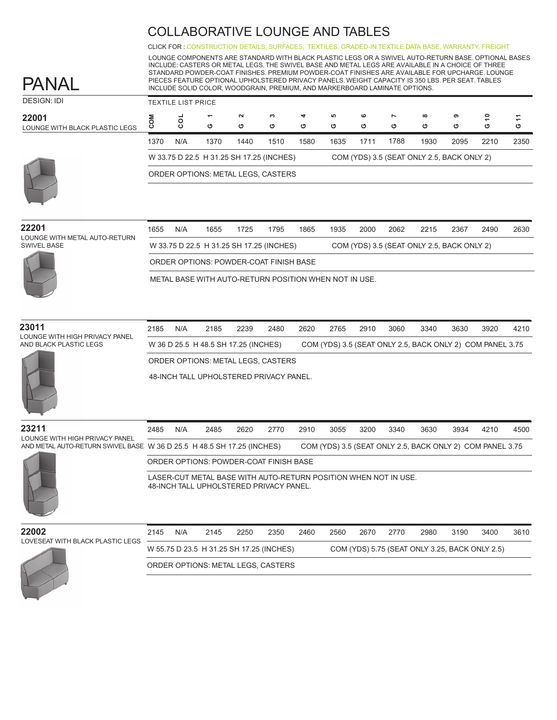CLICK FOR : [CONSTRUCTION DETAILS,](http://www.ekocontract.com/collaborative-seating/panal-collaborative) [SURFACES,](http://www.ekocontract.com/surfaces) [TEXTILES,](http://www.ekocontract.com/fabrics) [GRADED-IN TEXTILE DATA BASE,](http://www.ekocontract.com/resources/surface-materials/surface-materials-database) [WARRANTY, FREIGHT](http://www.ekocontract.com/files/resources/2015_EKO_Terms__Conditions.pdf)

LOUNGE COMPONENTS ARE STANDARD WITH BLACK PLASTIC LEGS OR A SWIVEL AUTO-RETURN BASE. OPTIONAL BASES INCLUDE: CASTERS OR METAL LEGS. THE SWIVEL BASE AND METAL LEGS ARE AVAILABLE IN A CHOICE OF THREE STANDARD POWDER-COAT FINISHES. PREMIUM POWDER-COAT FINISHES ARE AVAILABLE FOR UPCHARGE. LOUNGE PIECES FEATURE OPTIONAL UPHOLSTERED PRIVACY PANELS. WEIGHT CAPACITY IS 350 LBS. PER SEAT. TABLES INCLUDE SOLID COLOR, WOODGRAIN, PREMIUM, AND MARKERBOARD LAMINATE OPTIONS.

| <b>DESIGN: IDI</b>                      |      | <b>TEXTILE LIST PRICE</b> |                                          |             |        |        |         |        |                     |                                            |        |        |                               |
|-----------------------------------------|------|---------------------------|------------------------------------------|-------------|--------|--------|---------|--------|---------------------|--------------------------------------------|--------|--------|-------------------------------|
| 22001<br>LOUNGE WITH BLACK PLASTIC LEGS | ပ    | $\circ$<br>ပ              | $\overline{\phantom{0}}$<br>ט            | $\sim$<br>ပ | ຕ<br>Ο | 4<br>ඏ | ဖာ<br>ඏ | ဖ<br>৩ | $\overline{ }$<br>ט | $\infty$<br>ပ                              | ຶ<br>ט | ÷<br>ט | $\overline{\phantom{0}}$<br>פ |
|                                         | 1370 | N/A                       | 1370                                     | 1440        | 1510   | 1580   | 1635    | 1711   | 1788                | 1930                                       | 2095   | 2210   | 2350                          |
|                                         |      |                           | W 33.75 D 22.5 H 31.25 SH 17.25 (INCHES) |             |        |        |         |        |                     | COM (YDS) 3.5 (SEAT ONLY 2.5, BACK ONLY 2) |        |        |                               |
|                                         |      |                           | ORDER OPTIONS: METAL LEGS, CASTERS       |             |        |        |         |        |                     |                                            |        |        |                               |
|                                         |      |                           |                                          |             |        |        |         |        |                     |                                            |        |        |                               |

| 22201<br>LOUNGE WITH METAL AUTO-RETURN | 1655 | N/A | 1655 | 1725                                     | 1795 | 1865 | 1935 | 2000 | 2062 | 2215                                       | 2367 | 2490 | 2630 |
|----------------------------------------|------|-----|------|------------------------------------------|------|------|------|------|------|--------------------------------------------|------|------|------|
| SWIVEL BASE                            |      |     |      | W 33.75 D 22.5 H 31.25 SH 17.25 (INCHES) |      |      |      |      |      | COM (YDS) 3.5 (SEAT ONLY 2.5, BACK ONLY 2) |      |      |      |
|                                        |      |     |      | ORDER OPTIONS: POWDER-COAT FINISH BASE   |      |      |      |      |      |                                            |      |      |      |

METAL BASE WITH AUTO-RETURN POSITION WHEN NOT IN USE.

#### **23011**

PANAL

LOUNGE WITH HIGH PRIVACY PANEL AND BLACK PLASTIC LEGS

| 2185 | N/A | 2185                                 | 2239 | 2480 | 2620 | 2765 | 2910 | 3060 | 3340                                                      | 3630 | 3920 | 4210 |
|------|-----|--------------------------------------|------|------|------|------|------|------|-----------------------------------------------------------|------|------|------|
|      |     | W 36 D 25.5 H 48.5 SH 17.25 (INCHES) |      |      |      |      |      |      | COM (YDS) 3.5 (SEAT ONLY 2.5, BACK ONLY 2) COM PANEL 3.75 |      |      |      |
|      |     | ORDER OPTIONS: METAL LEGS, CASTERS   |      |      |      |      |      |      |                                                           |      |      |      |

48-INCH TALL UPHOLSTERED PRIVACY PANEL.



2485 2485 2620 2770 2910 3055 3200 3340 3630 3934 4210 4500 **23211** LOUNGE WITH HIGH PRIVACY PANEL AND METAL AUTO-RETURN SWIVEL BASE W 36 D 25.5 H 48.5 SH 17.25 (INCHES) COM (YDS) 3.5 (SEAT ONLY 2.5, BACK ONLY 2) COM PANEL 3.75 LASER-CUT METAL BASE WITH AUTO-RETURN POSITION WHEN NOT IN USE. 48-INCH TALL UPHOLSTERED PRIVACY PANEL. ORDER OPTIONS: POWDER-COAT FINISH BASE N/A

#### **22002** LOVES

| 2145 | N/A                         | 2145 | 2250 | 2350 | 2460 | 2560                                                                           | 2670 | 2770 | 2980 | 3190 | 3400 | 3610                                           |
|------|-----------------------------|------|------|------|------|--------------------------------------------------------------------------------|------|------|------|------|------|------------------------------------------------|
|      |                             |      |      |      |      |                                                                                |      |      |      |      |      |                                                |
|      |                             |      |      |      |      |                                                                                |      |      |      |      |      |                                                |
|      | EAT WITH BLACK PLASTIC LEGS |      |      |      |      | W 55.75 D 23.5 H 31.25 SH 17.25 (INCHES)<br>ORDER OPTIONS: METAL LEGS, CASTERS |      |      |      |      |      | COM (YDS) 5.75 (SEAT ONLY 3.25, BACK ONLY 2.5) |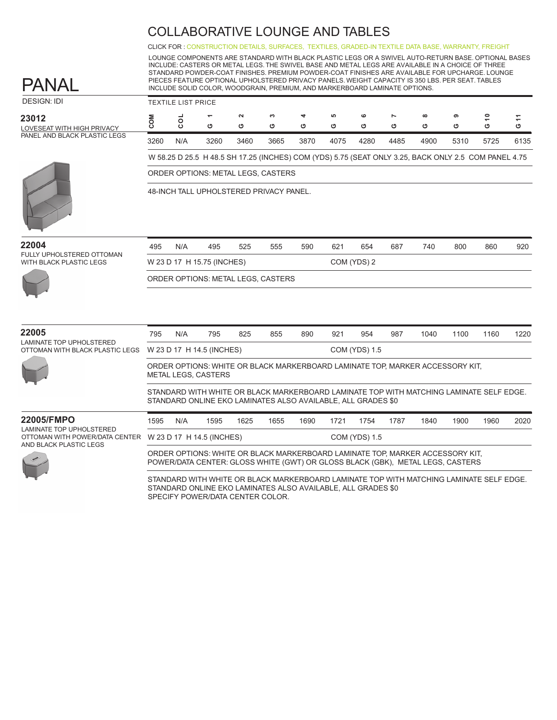CLICK FOR : [CONSTRUCTION DETAILS,](http://www.ekocontract.com/collaborative-seating/panal-collaborative) [SURFACES,](http://www.ekocontract.com/surfaces) [TEXTILES,](http://www.ekocontract.com/fabrics) [GRADED-IN TEXTILE DATA BASE,](http://www.ekocontract.com/resources/surface-materials/surface-materials-database) [WARRANTY, FREIGHT](http://www.ekocontract.com/files/resources/2015_EKO_Terms__Conditions.pdf)

LOUNGE COMPONENTS ARE STANDARD WITH BLACK PLASTIC LEGS OR A SWIVEL AUTO-RETURN BASE. OPTIONAL BASES INCLUDE: CASTERS OR METAL LEGS. THE SWIVEL BASE AND METAL LEGS ARE AVAILABLE IN A CHOICE OF THREE STANDARD POWDER-COAT FINISHES. PREMIUM POWDER-COAT FINISHES ARE AVAILABLE FOR UPCHARGE. LOUNGE PIECES FEATURE OPTIONAL UPHOLSTERED PRIVACY PANELS. WEIGHT CAPACITY IS 350 LBS. PER SEAT. TABLES INCLUDE SOLID COLOR, WOODGRAIN, PREMIUM, AND MARKERBOARD LAMINATE OPTIONS.

| <b>DESIGN: IDI</b>                  |      | <b>TEXTILE LIST PRICE</b> |                                                                                                      |             |        |        |         |        |                     |               |        |        |        |
|-------------------------------------|------|---------------------------|------------------------------------------------------------------------------------------------------|-------------|--------|--------|---------|--------|---------------------|---------------|--------|--------|--------|
| 23012<br>LOVESEAT WITH HIGH PRIVACY | ΜC   | $\circ$<br>$\circ$        | ᠇<br>O                                                                                               | $\sim$<br>O | ∾<br>O | 4<br>O | မာ<br>O | ဖ<br>O | $\overline{ }$<br>ပ | $\infty$<br>O | ၈<br>ပ | ₽<br>O | Ξ<br>O |
| PANEL AND BLACK PLASTIC LEGS        | 3260 | N/A                       | 3260                                                                                                 | 3460        | 3665   | 3870   | 4075    | 4280   | 4485                | 4900          | 5310   | 5725   | 6135   |
|                                     |      |                           | W 58.25 D 25.5 H 48.5 SH 17.25 (INCHES) COM (YDS) 5.75 (SEAT ONLY 3.25, BACK ONLY 2.5 COM PANEL 4.75 |             |        |        |         |        |                     |               |        |        |        |
|                                     |      |                           | ORDER OPTIONS: METAL LEGS, CASTERS                                                                   |             |        |        |         |        |                     |               |        |        |        |
|                                     |      |                           | 48-INCH TALL UPHOLSTERED PRIVACY PANEL.                                                              |             |        |        |         |        |                     |               |        |        |        |
| 22004<br>FULLY UPHOLSTERED OTTOMAN  | 495  | N/A                       | 495                                                                                                  | 525         | 555    | 590    | 621     | 654    | 687                 | 740           | 800    | 860    | 920    |

FULLY UPHOLSTERED OTTOMAN WITH BLACK PLASTIC LEGS

PANAL



| 495 | N/A                                | 495 | 525 | 555 | 590 | 621 | 654         | 687 | 740 | 800 | 860 | 92 |
|-----|------------------------------------|-----|-----|-----|-----|-----|-------------|-----|-----|-----|-----|----|
|     | W 23 D 17 H 15.75 (INCHES)         |     |     |     |     |     | COM (YDS) 2 |     |     |     |     |    |
|     | ORDER OPTIONS: METAL LEGS, CASTERS |     |     |     |     |     |             |     |     |     |     |    |

| 22005                                                       | 795  | N/A | 795                        | 825                                                                                                   | 855  | 890  | 921  | 954                  | 987  | 1040                                                                                                                                                            | 1100 | 1160 | 1220 |
|-------------------------------------------------------------|------|-----|----------------------------|-------------------------------------------------------------------------------------------------------|------|------|------|----------------------|------|-----------------------------------------------------------------------------------------------------------------------------------------------------------------|------|------|------|
| LAMINATE TOP UPHOLSTERED<br>OTTOMAN WITH BLACK PLASTIC LEGS |      |     | W 23 D 17 H 14.5 (INCHES)  |                                                                                                       |      |      |      | <b>COM (YDS) 1.5</b> |      |                                                                                                                                                                 |      |      |      |
|                                                             |      |     | <b>METAL LEGS, CASTERS</b> |                                                                                                       |      |      |      |                      |      | ORDER OPTIONS: WHITE OR BLACK MARKERBOARD LAMINATE TOP, MARKER ACCESSORY KIT,                                                                                   |      |      |      |
|                                                             |      |     |                            | STANDARD ONLINE EKO LAMINATES ALSO AVAILABLE, ALL GRADES \$0                                          |      |      |      |                      |      | STANDARD WITH WHITE OR BLACK MARKERBOARD LAMINATE TOP WITH MATCHING LAMINATE SELF EDGE.                                                                         |      |      |      |
| 22005/FMPO                                                  | 1595 | N/A | 1595                       | 1625                                                                                                  | 1655 | 1690 | 1721 | 1754                 | 1787 | 1840                                                                                                                                                            | 1900 | 1960 | 2020 |
| LAMINATE TOP UPHOLSTERED<br>OTTOMAN WITH POWER/DATA CENTER  |      |     | W 23 D 17 H 14.5 (INCHES)  |                                                                                                       |      |      |      | <b>COM (YDS) 1.5</b> |      |                                                                                                                                                                 |      |      |      |
| AND BLACK PLASTIC LEGS                                      |      |     |                            |                                                                                                       |      |      |      |                      |      | ORDER OPTIONS: WHITE OR BLACK MARKERBOARD LAMINATE TOP, MARKER ACCESSORY KIT,<br>POWER/DATA CENTER: GLOSS WHITE (GWT) OR GLOSS BLACK (GBK), METAL LEGS, CASTERS |      |      |      |
|                                                             |      |     |                            | $\cap$ takin and $\cap$ and the tizal absulted and an and all $\cap$ and $\cap$ and $\cap$ and $\cap$ |      |      |      |                      |      | STANDARD WITH WHITE OR BLACK MARKERBOARD LAMINATE TOP WITH MATCHING LAMINATE SELF EDGE.                                                                         |      |      |      |

STANDARD ONLINE EKO LAMINATES ALSO AVAILABLE, ALL GRADES \$0 SPECIFY POWER/DATA CENTER COLOR.